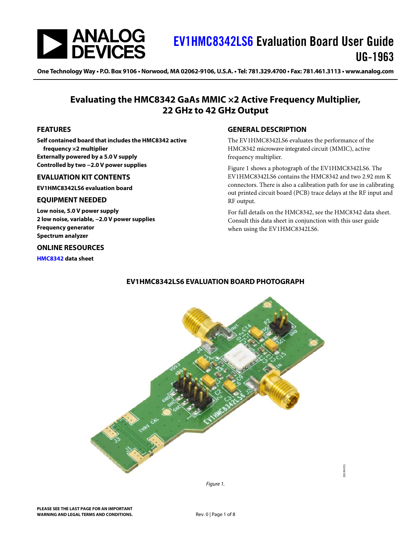

## [EV1HMC8342LS6](https://www.analog.com/eval-HMC8342?doc=EV1HMC8342LS6-UG-1963.pdf) Evaluation Board User Guide UG-1963

One Technology Way . P.O. Box 9106 . Norwood, MA 02062-9106, U.S.A. . Tel: 781.329.4700 . Fax: 781.461.3113 . [www.analog.com](http://www.analog.com/)

### **Evaluating the HMC8342 GaAs MMIC ×2 Active Frequency Multiplier, 22 GHz to 42 GHz Output**

#### <span id="page-0-1"></span>**FEATURES**

**Self contained board that includes the HMC8342 active frequency ×2 multiplier Externally powered by a 5.0 V supply Controlled by two −2.0 V power supplies**

#### <span id="page-0-2"></span>**EVALUATION KIT CONTENTS**

**EV1HMC8342LS6 evaluation board**

#### <span id="page-0-3"></span>**EQUIPMENT NEEDED**

**Low noise, 5.0 V power supply 2 low noise, variable, −2.0 V power supplies Frequency generator Spectrum analyzer** 

#### <span id="page-0-4"></span>**ONLINE RESOURCES**

<span id="page-0-6"></span>**[HMC8342](https://www.analog.com/HMC8342?doc=EV1HMC8342LS6-UG-1963.pdf) data sheet**

#### <span id="page-0-5"></span>**GENERAL DESCRIPTION**

The EV1HMC8342LS6 evaluates the performance of the HMC8342 microwave integrated circuit (MMIC), active frequency multiplier.

[Figure 1](#page-0-0) shows a photograph of the EV1HMC8342LS6. The EV1HMC8342LS6 contains the HMC8342 and two 2.92 mm K connectors. There is also a calibration path for use in calibrating out printed circuit board (PCB) trace delays at the RF input and RF output.

For full details on the HMC8342, see the HMC8342 data sheet. Consult this data sheet in conjunction with this user guide when using the EV1HMC8342LS6.



#### **EV1HMC8342LS6 EVALUATION BOARD PHOTOGRAPH**

<span id="page-0-0"></span>*Figure 1.*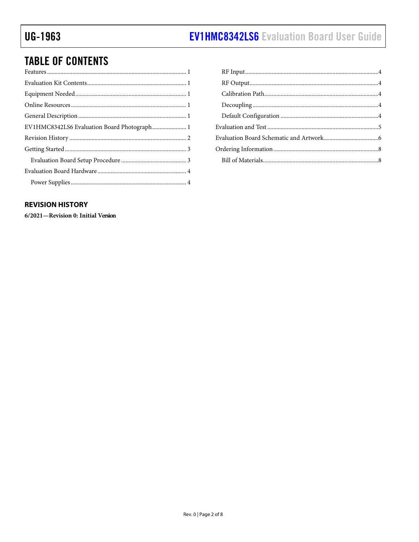## **TABLE OF CONTENTS**

#### <span id="page-1-0"></span>**REVISION HISTORY**

6/2021-Revision 0: Initial Version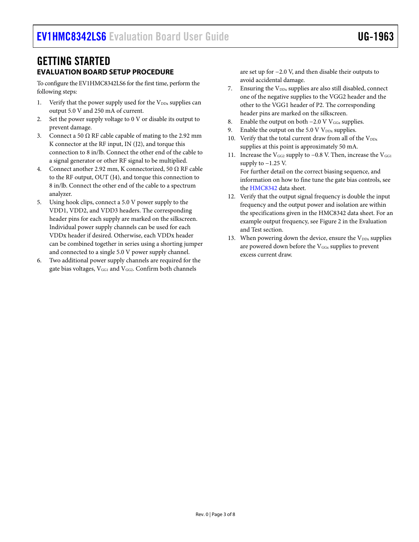### <span id="page-2-0"></span>GETTING STARTED **EVALUATION BOARD SETUP PROCEDURE**

<span id="page-2-1"></span>To configure the EV1HMC8342LS6 for the first time, perform the following steps:

- 1. Verify that the power supply used for the  $V_{DDx}$  supplies can output 5.0 V and 250 mA of current.
- 2. Set the power supply voltage to 0 V or disable its output to prevent damage.
- 3. Connect a 50  $\Omega$  RF cable capable of mating to the 2.92 mm K connector at the RF input, IN (J2), and torque this connection to 8 in/lb. Connect the other end of the cable to a signal generator or other RF signal to be multiplied.
- 4. Connect another 2.92 mm, K connectorized, 50  $\Omega$  RF cable to the RF output, OUT (J4), and torque this connection to 8 in/lb. Connect the other end of the cable to a spectrum analyzer.
- 5. Using hook clips, connect a 5.0 V power supply to the VDD1, VDD2, and VDD3 headers. The corresponding header pins for each supply are marked on the silkscreen. Individual power supply channels can be used for each VDDx header if desired. Otherwise, each VDDx header can be combined together in series using a shorting jumper and connected to a single 5.0 V power supply channel.
- 6. Two additional power supply channels are required for the gate bias voltages, V<sub>GG1</sub> and V<sub>GG2</sub>. Confirm both channels

are set up for −2.0 V, and then disable their outputs to avoid accidental damage.

- Ensuring the  $V_{DDx}$  supplies are also still disabled, connect one of the negative supplies to the VGG2 header and the other to the VGG1 header of P2. The corresponding header pins are marked on the silkscreen.
- 8. Enable the output on both  $-2.0 \text{ V V}_{\text{GGx}}$  supplies.
- 9. Enable the output on the  $5.0 \text{ V}$   $V_{\text{DDx}}$  supplies.
- 10. Verify that the total current draw from all of the  $V_{DDx}$ supplies at this point is approximately 50 mA.
- 11. Increase the V<sub>GG2</sub> supply to −0.8 V. Then, increase the V<sub>GG1</sub> supply to  $-1.25$  V. For further detail on the correct biasing sequence, and information on how to fine tune the gate bias controls, see th[e HMC8342](https://www.analog.com/HMC8342?doc=EV1HMC8342LS6-UG-1963.pdf) data sheet.
- 12. Verify that the output signal frequency is double the input frequency and the output power and isolation are within the specifications given in the HMC8342 data sheet. For an example output frequency, see [Figure 2](#page-4-1) in the [Evaluation](#page-4-0)  [and Test](#page-4-0) section.
- 13. When powering down the device, ensure the  $V_{DDx}$  supplies are powered down before the V<sub>GGx</sub> supplies to prevent excess current draw.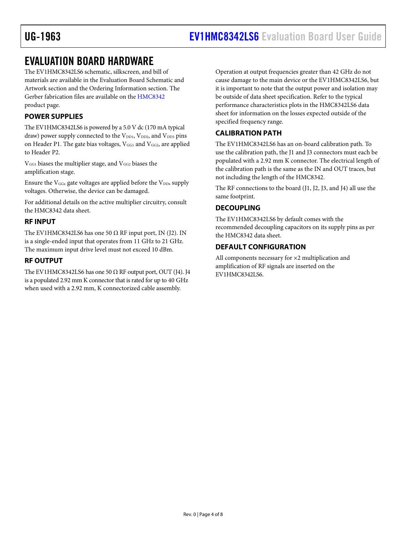### <span id="page-3-0"></span>EVALUATION BOARD HARDWARE

The EV1HMC8342LS6 schematic, silkscreen, and bill of materials are available in th[e Evaluation Board Schematic and](#page-5-0)  [Artwork](#page-5-0) section and the [Ordering Information](#page-7-0) section. The Gerber fabrication files are available on the [HMC8342](https://www.analog.com/HMC8342?doc=EV1HMC8342LS6-UG-1963.pdf) product page.

#### <span id="page-3-1"></span>**POWER SUPPLIES**

The EV1HMC8342LS6 is powered by a 5.0 V dc (170 mA typical draw) power supply connected to the  $\rm V_{DD1},$   $\rm V_{DD2},$  and  $\rm V_{DD3}$  pins on Header P1. The gate bias voltages,  $V_{GG1}$  and  $V_{GG2}$ , are applied to Header P2.

V<sub>GG1</sub> biases the multiplier stage, and V<sub>GG2</sub> biases the amplification stage.

Ensure the  $V_{GGx}$  gate voltages are applied before the  $V_{DDx}$  supply voltages. Otherwise, the device can be damaged.

For additional details on the active multiplier circuitry, consult the HMC8342 data sheet.

#### <span id="page-3-2"></span>**RF INPUT**

The EV1HMC8342LS6 has one 50  $\Omega$  RF input port, IN (J2). IN is a single-ended input that operates from 11 GHz to 21 GHz. The maximum input drive level must not exceed 10 dBm.

#### <span id="page-3-3"></span>**RF OUTPUT**

The EV1HMC8342LS6 has one 50  $\Omega$  RF output port, OUT (J4). J4 is a populated 2.92 mm K connector that israted for up to 40 GHz when used with a 2.92 mm, K connectorized cable assembly.

Operation at output frequencies greater than 42 GHz do not cause damage to the main device or the EV1HMC8342LS6, but it is important to note that the output power and isolation may be outside of data sheet specification. Refer to the typical performance characteristics plots in the HMC8342LS6 data sheet for information on the losses expected outside of the specified frequency range.

#### <span id="page-3-4"></span>**CALIBRATION PATH**

The EV1HMC8342LS6 has an on-board calibration path. To use the calibration path, the J1 and J3 connectors must each be populated with a 2.92 mm K connector. The electrical length of the calibration path is the same as the IN and OUT traces, but not including the length of the HMC8342.

The RF connections to the board (J1, J2, J3, and J4) all use the same footprint.

#### <span id="page-3-5"></span>**DECOUPLING**

The EV1HMC8342LS6 by default comes with the recommended decoupling capacitors on its supply pins as per the HMC8342 data sheet.

#### <span id="page-3-6"></span>**DEFAULT CONFIGURATION**

All components necessary for ×2 multiplication and amplification of RF signals are inserted on the EV1HMC8342LS6.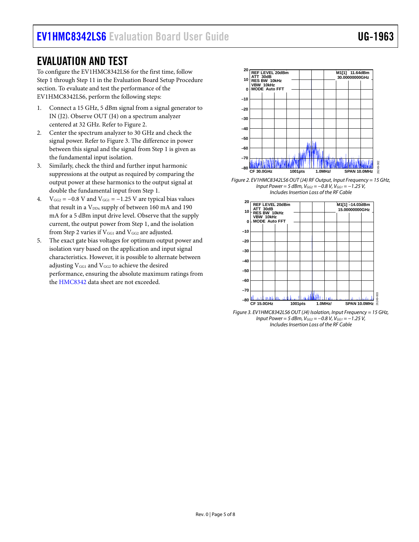### <span id="page-4-0"></span>EVALUATION AND TEST

To configure the EV1HMC8342LS6 for the first time, follow Step 1 through Step 11 in the [Evaluation Board Setup Procedure](#page-2-1) section. To evaluate and test the performance of the EV1HMC8342LS6, perform the following steps:

- 1. Connect a 15 GHz, 5 dBm signal from a signal generator to IN (J2). Observe OUT (J4) on a spectrum analyzer centered at 32 GHz. Refer t[o Figure 2.](#page-4-1)
- 2. Center the spectrum analyzer to 30 GHz and check the signal power. Refer to [Figure 3.](#page-4-2) The difference in power between this signal and the signal from Step 1 is given as the fundamental input isolation.
- 3. Similarly, check the third and further input harmonic suppressions at the output as required by comparing the output power at these harmonics to the output signal at double the fundamental input from Step 1.
- 4.  $V_{GG2} = -0.8$  V and  $V_{GG1} = -1.25$  V are typical bias values that result in a  $V_{\text{DDx}}$  supply of between 160 mA and 190 mA for a 5 dBm input drive level. Observe that the supply current, the output power from Step 1, and the isolation from Step 2 varies if  $V_{GG1}$  and  $V_{GG2}$  are adjusted.
- 5. The exact gate bias voltages for optimum output power and isolation vary based on the application and input signal characteristics. However, it is possible to alternate between adjusting  $V_{GG1}$  and  $V_{GG2}$  to achieve the desired performance, ensuring the absolute maximum ratings from th[e HMC8342](https://www.analog.com/HMC8342?doc=EV1HMC8342LS6-UG-1963.pdf) data sheet are not exceeded.



<span id="page-4-1"></span>*Figure 2. EV1HMC8342LS6 OUT (J4) RF Output, Input Frequency = 15 GHz, Input Power = 5 dBm, V<sub>GG2</sub> = −0.8 V, V<sub>GG1</sub> = −1.25 V, IncludesInsertion Loss of the RF Cable*



<span id="page-4-2"></span>*Figure 3. EV1HMC8342LS6 OUT (J4) Isolation, Input Frequency = 15 GHz, Input Power = 5 dBm,*  $V_{GG2}$  *= −0.8 V,*  $V_{GG1}$  *= −1.25 V. Includes Insertion Loss of the RF Cable*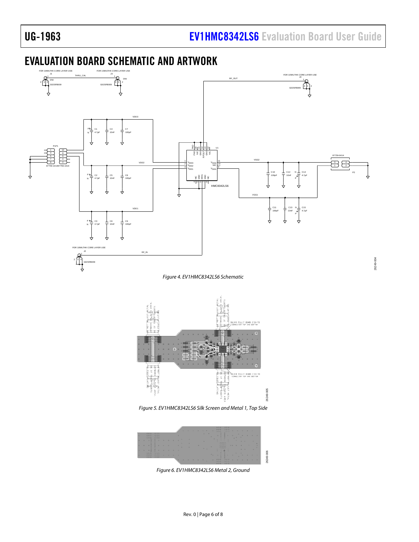26249-004

## <span id="page-5-0"></span>EVALUATION BOARD SCHEMATIC AND ARTWORK



*Figure 5. EV1HMC8342LS6 Silk Screen and Metal 1, Top Side*

26249-005

6249-005



*Figure 6. EV1HMC8342LS6 Metal 2, Ground*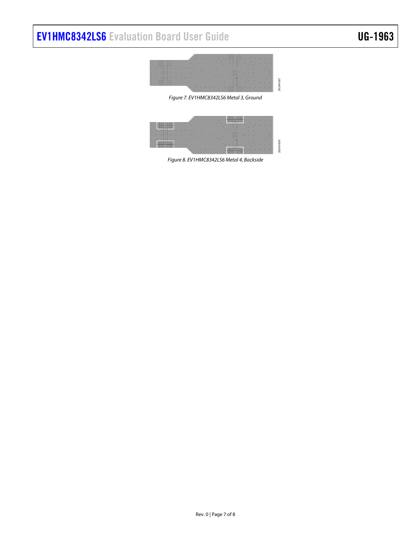# [EV1HMC8342LS6](https://www.analog.com/eval-HMC8342?doc=EV1HMC8342LS6-UG-1963.pdf) Evaluation Board User Guide UG-1963



26249-007

*Figure 7. EV1HMC8342LS6 Metal 3, Ground*



*Figure 8. EV1HMC8342LS6 Metal 4, Backside*